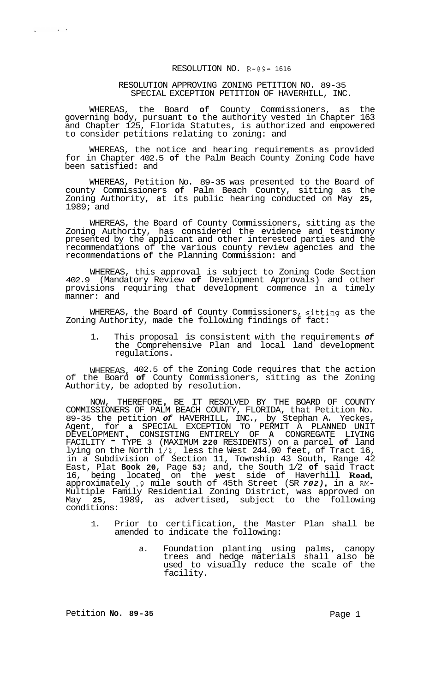## RESOLUTION NO. R-89- 1616

## RESOLUTION APPROVING ZONING PETITION NO. 89-35 SPECIAL EXCEPTION PETITION OF HAVERHILL, INC.

WHEREAS, the Board **of** County Commissioners, as the governing body, pursuant **to** the authority vested in Chapter 163 and Chapter 125, Florida Statutes, is authorized and empowered to consider petitions relating to zoning: and

WHEREAS, the notice and hearing requirements as provided for in Chapter 402.5 **of** the Palm Beach County Zoning Code have been satisfied: and

WHEREAS, Petition No. 89-35 was presented to the Board of county Commissioners **of** Palm Beach County, sitting as the Zoning Authority, at its public hearing conducted on May **25,**  1989; and

WHEREAS, the Board of County Commissioners, sitting as the Zoning Authority, has considered the evidence and testimony presented by the applicant and other interested parties and the recommendations of the various county review agencies and the recommendations **of** the Planning Commission: and

WHEREAS, this approval is subject to Zoning Code Section 402.9 (Mandatory Review **of** Development Approvals) and other provisions requiring that development commence in a timely manner: and

WHEREAS, the Board **of** County Commissioners, sitting as the Zoning Authority, made the following findings of fact:

1. This proposal is consistent with the requirements *of*  the Comprehensive Plan and local land development regulations.

WHEREAS, 402.5 of the Zoning Code requires that the action of the Board **of** County Commissioners, sitting as the Zoning Authority, be adopted by resolution.

NOW, THEREFORE, BE IT RESOLVED BY THE BOARD OF COUNTY COMMISSIONERS OF PALM BEACH COUNTY, FLORIDA, that Petition No. 89-35 the petition *of* HAVERHILL, INC., by Stephan A. Yeckes, Agent, for **a** SPECIAL EXCEPTION TO PERMIT A PLANNED UNIT DEVELOPMENT , CONSISTING ENTIRELY OF **A** CONGREGATE LIVING FACILITY - TYPE 3 (MAXIMUM **220** RESIDENTS) on a parcel **of** land lying on the North 1/2, less the West 244.00 feet, of Tract 16, in a Subdivision of Section 11, Township 43 South, Range 42 East, Plat **Book 20,** Page **53;** and, the South 1/2 **of** said Tract 16, being located on the west side of Haverhill **Road,**  approximately .9 mile south of 45th Street (SR *702)* , in a **RM-**Multiple Family Residential Zoning District, was approved on May **25,** 1989, as advertised, subject to the following conditions:

- 1. Prior to certification, the Master Plan shall be amended to indicate the following:
	- a. Foundation planting using palms, canopy trees and hedge materials shall also be used to visually reduce the scale of the facility.

Petition **No. 89-35** Page 1

 $\mathcal{L}^{\mathcal{L}}(\mathbf{x})$  . As

 $\mathbf{A}$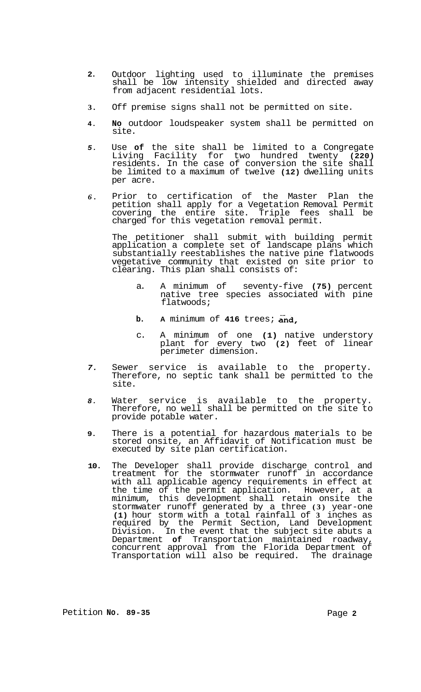- **2.**  Outdoor lighting used to illuminate the premises shall be low intensity shielded and directed away from adjacent residential lots.
- **3.**  Off premise signs shall not be permitted on site.
- **4. No** outdoor loudspeaker system shall be permitted on site.
- *5.*  Use **of** the site shall be limited to a Congregate Living Facility for two hundred twenty **(220)**  residents. In the case of conversion the site shall be limited to a maximum of twelve **(12)** dwelling units per acre.
- *6.*  Prior to certification of the Master Plan the petition shall apply for a Vegetation Removal Permit covering the entire site. Triple fees shall be charged for this vegetation removal permit.

The petitioner shall submit with building permit application a complete set of landscape plans which substantially reestablishes the native pine flatwoods vegetative community that existed on site prior to clearing. This plan shall consists of:

- a. A minimum of seventy-five (75) percent native tree species associated with pine flatwoods;
- **b. A** minimum of **416** trees; and,
- c. A minimum of one **(1)** native understory plant for every two **(2)** feet of linear perimeter dimension.
- *7.*  Sewer service is available to the property. Therefore, no septic tank shall be permitted to the site.
- *8.*  Water service is available to the property. Therefore, no well shall be permitted on the site to provide potable water.
- **9.**  There is a potential for hazardous materials to be stored onsite, an Affidavit of Notification must be executed by site plan certification.
- **10.**  The Developer shall provide discharge control and treatment for the stormwater runoff in accordance with all applicable agency requirements in effect at the time of the permit application. However, at a minimum, this development shall retain onsite the stormwater runoff generated by a three **(3)** year-one **(1)** hour storm with a total rainfall of **3** inches as required by the Permit Section, Land Development Division. In the event that the subject site abuts a Department **of** Transportation maintained roadway, concurrent approval from the Florida Department of Transportation will also be required. The drainage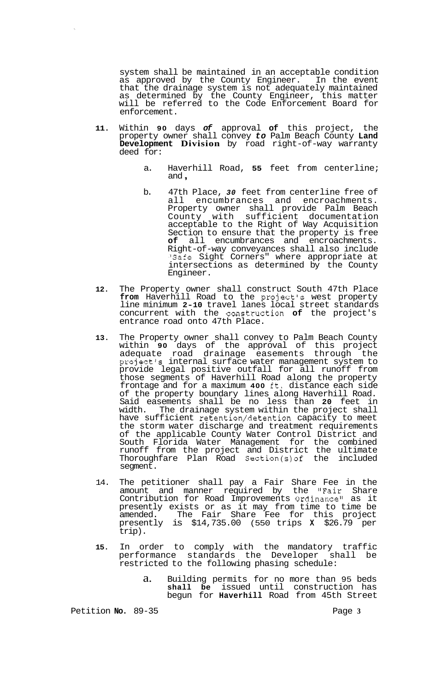system shall be maintained in an acceptable condition as approved by the County Engineer. In the event that the drainage system is not adequately maintained as determined by the County Engineer, this matter will be referred to the Code Enforcement Board for enforcement.

- **11.** Within **90** days *of* approval **of** this project, the property owner shall convey *to* Palm Beach County **Land Development Division** by road right-of-way warranty deed for:
	- a. Haverhill Road, **55** feet from centerline; and ,
	- b. 47th Place, *30* feet from centerline free of all encumbrances and encroachments. Property owner shall provide Palm Beach County with sufficient documentation acceptable to the Right of Way Acquisition Section to ensure that the property is free<br>
	of all encumbrances and encroachments. all encumbrances and encroachments. Right-of-way conveyances shall also include "Safe Sight Corners" where appropriate at intersections as determined by the County Engineer.
- **12.** The Property owner shall construct South 47th Place **from** Haverhill Road to the project's west property line minimum **2-10** travel lanes local street standards concurrent with the construction **of** the project's entrance road onto 47th Place.
- **13.** The Property owner shall convey to Palm Beach County within **90** days of the approval of this project adequate road drainage easements through the project's internal surface water management system to provide legal positive outfall for all runoff from those segments of Haverhill Road along the property frontage and for a maximum **400** ft. distance each side of the property boundary lines along Haverhill Road. Said easements shall be no less than **20** feet in width. The drainage system within the project shall have sufficient retention/detention capacity to meet the storm water discharge and treatment requirements of the applicable County Water Control District and South Florida Water Management for the combined runoff from the project and District the ultimate Thoroughfare Plan Road Section(s)of the included segment.
- 14. The petitioner shall pay a Fair Share Fee in the amount and manner required by the "Fair Share Contribution for Road Improvements Ordinance" as it presently exists or as it may from time to time be amended. The Fair Share Fee for this project presently is \$14,735.00 (550 trips **X** \$26.79 per trip).
- **15.** In order to comply with the mandatory traffic performance standards the Developer shall be restricted to the following phasing schedule:
	- a. Building permits for no more than 95 beds **shall be** issued until construction has begun for **Haverhill** Road from 45th Street

Petition **No.** 89-35 Page **3**